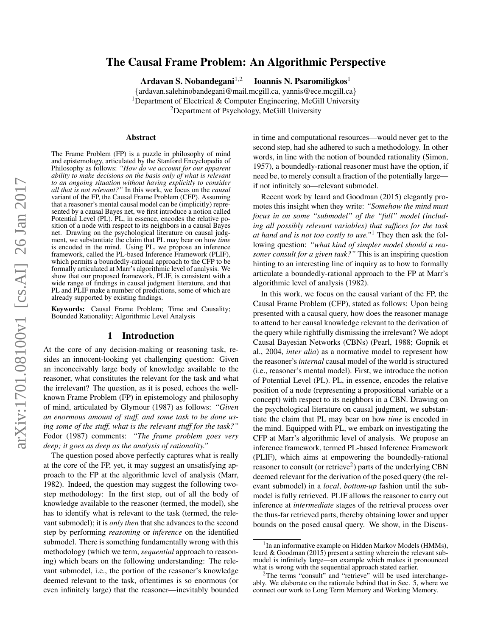# arXiv:1701.08100v1 [cs.AI] 26 Jan 2017 arXiv:1701.08100v1 [cs.AI] 26 Jan 2017

# The Causal Frame Problem: An Algorithmic Perspective

Ardavan S. Nobandegani $^{1,2}$ 

Ioannis N. Psaromiligkos<sup>1</sup>

{ardavan.salehinobandegani@mail.mcgill.ca, yannis@ece.mcgill.ca} <sup>1</sup>Department of Electrical & Computer Engineering, McGill University <sup>2</sup>Department of Psychology, McGill University

### Abstract

The Frame Problem (FP) is a puzzle in philosophy of mind and epistemology, articulated by the Stanford Encyclopedia of Philosophy as follows: *"How do we account for our apparent ability to make decisions on the basis only of what is relevant to an ongoing situation without having explicitly to consider all that is not relevant?"* In this work, we focus on the *causal* variant of the FP, the Causal Frame Problem (CFP). Assuming that a reasoner's mental causal model can be (implicitly) represented by a causal Bayes net, we first introduce a notion called Potential Level (PL). PL, in essence, encodes the relative position of a node with respect to its neighbors in a causal Bayes net. Drawing on the psychological literature on causal judgment, we substantiate the claim that PL may bear on how *time* is encoded in the mind. Using PL, we propose an inference framework, called the PL-based Inference Framework (PLIF), which permits a boundedly-rational approach to the CFP to be formally articulated at Marr's algorithmic level of analysis. We show that our proposed framework, PLIF, is consistent with a wide range of findings in causal judgment literature, and that PL and PLIF make a number of predictions, some of which are already supported by existing findings.

Keywords: Causal Frame Problem; Time and Causality; Bounded Rationality; Algorithmic Level Analysis

### 1 Introduction

At the core of any decision-making or reasoning task, resides an innocent-looking yet challenging question: Given an inconceivably large body of knowledge available to the reasoner, what constitutes the relevant for the task and what the irrelevant? The question, as it is posed, echoes the wellknown Frame Problem (FP) in epistemology and philosophy of mind, articulated by Glymour (1987) as follows: *"Given an enormous amount of stuff, and some task to be done using some of the stuff, what is the relevant stuff for the task?"* Fodor (1987) comments: *"The frame problem goes very deep; it goes as deep as the analysis of rationality."*

The question posed above perfectly captures what is really at the core of the FP, yet, it may suggest an unsatisfying approach to the FP at the algorithmic level of analysis (Marr, 1982). Indeed, the question may suggest the following twostep methodology: In the first step, out of all the body of knowledge available to the reasoner (termed, the model), she has to identify what is relevant to the task (termed, the relevant submodel); it is *only then* that she advances to the second step by performing *reasoning* or *inference* on the identified submodel. There is something fundamentally wrong with this methodology (which we term, *sequential* approach to reasoning) which bears on the following understanding: The relevant submodel, i.e., the portion of the reasoner's knowledge deemed relevant to the task, oftentimes is so enormous (or even infinitely large) that the reasoner—inevitably bounded in time and computational resources—would never get to the second step, had she adhered to such a methodology. In other words, in line with the notion of bounded rationality (Simon, 1957), a boundedly-rational reasoner must have the option, if need be, to merely consult a fraction of the potentially large if not infinitely so—relevant submodel.

Recent work by Icard and Goodman (2015) elegantly promotes this insight when they write: *"Somehow the mind must focus in on some "submodel" of the "full" model (including all possibly relevant variables) that suffices for the task at hand and is not too costly to use."*<sup>1</sup> They then ask the following question: *"what kind of simpler model should a reasoner consult for a given task?"* This is an inspiring question hinting to an interesting line of inquiry as to how to formally articulate a boundedly-rational approach to the FP at Marr's algorithmic level of analysis (1982).

In this work, we focus on the causal variant of the FP, the Causal Frame Problem (CFP), stated as follows: Upon being presented with a causal query, how does the reasoner manage to attend to her causal knowledge relevant to the derivation of the query while rightfully dismissing the irrelevant? We adopt Causal Bayesian Networks (CBNs) (Pearl, 1988; Gopnik et al., 2004, *inter alia*) as a normative model to represent how the reasoner's *internal* causal model of the world is structured (i.e., reasoner's mental model). First, we introduce the notion of Potential Level (PL). PL, in essence, encodes the relative position of a node (representing a propositional variable or a concept) with respect to its neighbors in a CBN. Drawing on the psychological literature on causal judgment, we substantiate the claim that PL may bear on how *time* is encoded in the mind. Equipped with PL, we embark on investigating the CFP at Marr's algorithmic level of analysis. We propose an inference framework, termed PL-based Inference Framework (PLIF), which aims at empowering the boundedly-rational reasoner to consult (or retrieve<sup>2</sup>) parts of the underlying CBN deemed relevant for the derivation of the posed query (the relevant submodel) in a *local*, *bottom-up* fashion until the submodel is fully retrieved. PLIF allows the reasoner to carry out inference at *intermediate* stages of the retrieval process over the thus-far retrieved parts, thereby obtaining lower and upper bounds on the posed causal query. We show, in the Discus-

<sup>&</sup>lt;sup>1</sup> In an informative example on Hidden Markov Models (HMMs), Icard & Goodman (2015) present a setting wherein the relevant submodel is infinitely large—an example which makes it pronounced what is wrong with the sequential approach stated earlier.

<sup>2</sup>The terms "consult" and "retrieve" will be used interchangeably. We elaborate on the rationale behind that in Sec. 5, where we connect our work to Long Term Memory and Working Memory.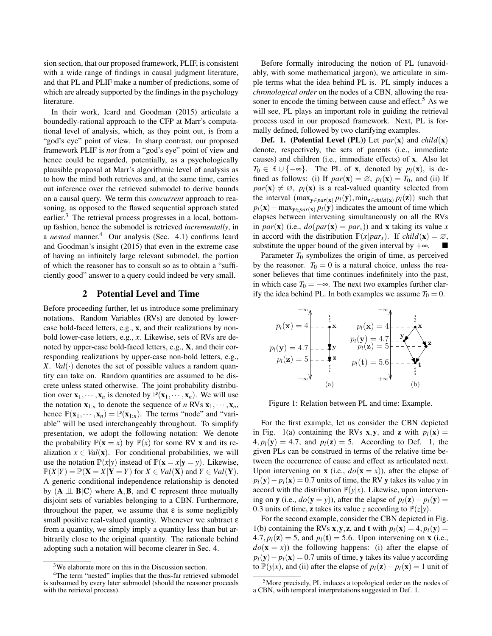sion section, that our proposed framework, PLIF, is consistent with a wide range of findings in causal judgment literature, and that PL and PLIF make a number of predictions, some of which are already supported by the findings in the psychology literature.

In their work, Icard and Goodman (2015) articulate a boundedly-rational approach to the CFP at Marr's computational level of analysis, which, as they point out, is from a "god's eye" point of view. In sharp contrast, our proposed framework PLIF is *not* from a "god's eye" point of view and hence could be regarded, potentially, as a psychologically plausible proposal at Marr's algorithmic level of analysis as to how the mind both retrieves and, at the same time, carries out inference over the retrieved submodel to derive bounds on a causal query. We term this *concurrent* approach to reasoning, as opposed to the flawed sequential approach stated earlier.<sup>3</sup> The retrieval process progresses in a local, bottomup fashion, hence the submodel is retrieved *incrementally*, in a *nested* manner.<sup>4</sup> Our analysis (Sec. 4.1) confirms Icard and Goodman's insight (2015) that even in the extreme case of having an infinitely large relevant submodel, the portion of which the reasoner has to consult so as to obtain a "sufficiently good" answer to a query could indeed be very small.

### 2 Potential Level and Time

Before proceeding further, let us introduce some preliminary notations. Random Variables (RVs) are denoted by lowercase bold-faced letters, e.g., x, and their realizations by nonbold lower-case letters, e.g., *x*. Likewise, sets of RVs are denoted by upper-case bold-faced letters, e.g., X, and their corresponding realizations by upper-case non-bold letters, e.g., *X*. *Val*( $\cdot$ ) denotes the set of possible values a random quantity can take on. Random quantities are assumed to be discrete unless stated otherwise. The joint probability distribution over  $x_1, \dots, x_n$  is denoted by  $\mathbb{P}(x_1, \dots, x_n)$ . We will use the notation  $\mathbf{x}_{1:n}$  to denote the sequence of *n* RVs  $\mathbf{x}_1, \dots, \mathbf{x}_n$ , hence  $\mathbb{P}(\mathbf{x}_1,\dots,\mathbf{x}_n)=\mathbb{P}(\mathbf{x}_{1:n})$ . The terms "node" and "variable" will be used interchangeably throughout. To simplify presentation, we adopt the following notation: We denote the probability  $\mathbb{P}(\mathbf{x} = x)$  by  $\mathbb{P}(x)$  for some RV x and its realization  $x \in Val(\mathbf{x})$ . For conditional probabilities, we will use the notation  $\mathbb{P}(x|y)$  instead of  $\mathbb{P}(\mathbf{x} = x|\mathbf{y} = y)$ . Likewise,  $\mathbb{P}(X|Y) = \mathbb{P}(\mathbf{X} = X | \mathbf{Y} = Y)$  for  $X \in Val(\mathbf{X})$  and  $Y \in Val(\mathbf{Y})$ . A generic conditional independence relationship is denoted by  $(A \perp \!\!\!\perp B|C)$  where  $A, B$ , and C represent three mutually disjoint sets of variables belonging to a CBN. Furthermore, throughout the paper, we assume that  $\varepsilon$  is some negligibly small positive real-valued quantity. Whenever we subtract  $\varepsilon$ from a quantity, we simply imply a quantity less than but arbitrarily close to the original quantity. The rationale behind adopting such a notation will become clearer in Sec. 4.

Before formally introducing the notion of PL (unavoidably, with some mathematical jargon), we articulate in simple terms what the idea behind PL is. PL simply induces a *chronological order* on the nodes of a CBN, allowing the reasoner to encode the timing between cause and effect.<sup>5</sup> As we will see, PL plays an important role in guiding the retrieval process used in our proposed framework. Next, PL is formally defined, followed by two clarifying examples.

**Def. 1.** (**Potential Level (PL)**) Let  $par(\mathbf{x})$  and  $child(\mathbf{x})$ denote, respectively, the sets of parents (i.e., immediate causes) and children (i.e., immediate effects) of x. Also let  $T_0 \in \mathbb{R} \cup \{-\infty\}$ . The PL of **x**, denoted by  $p_l(\mathbf{x})$ , is defined as follows: (i) If  $par(\mathbf{x}) = \emptyset$ ,  $p_l(\mathbf{x}) = T_0$ , and (ii) If  $par(\mathbf{x}) \neq \emptyset$ ,  $p_l(\mathbf{x})$  is a real-valued quantity selected from the interval  $(\max_{\mathbf{v} \in \text{par}(\mathbf{x})} p_l(\mathbf{y}), \min_{\mathbf{z} \in \text{child}(\mathbf{x})} p_l(\mathbf{z}))$  such that  $p_l$ (**x**) − max<sub>y∈*par*(**x**)</sub>  $p_l$ (**y**) indicates the amount of time which elapses between intervening simultaneously on all the RVs in *par*(**x**) (i.e.,  $do(par(\mathbf{x}) = par_{x})$ ) and **x** taking its value *x* in accord with the distribution  $\mathbb{P}(x|par_x)$ . If *child*(**x**) =  $\emptyset$ , substitute the upper bound of the given interval by  $+\infty$ .

Parameter  $T_0$  symbolizes the origin of time, as perceived by the reasoner.  $T_0 = 0$  is a natural choice, unless the reasoner believes that time continues indefinitely into the past, in which case  $T_0 = -\infty$ . The next two examples further clarify the idea behind PL. In both examples we assume  $T_0 = 0$ .



Figure 1: Relation between PL and time: Example.

For the first example, let us consider the CBN depicted in Fig. 1(a) containing the RVs **x**, **y**, and **z** with  $p_l(\mathbf{x}) =$  $4, p_l(y) = 4.7$ , and  $p_l(z) = 5$ . According to Def. 1, the given PLs can be construed in terms of the relative time between the occurrence of cause and effect as articulated next. Upon intervening on **x** (i.e.,  $do(x = x)$ ), after the elapse of  $p_l(y) - p_l(x) = 0.7$  units of time, the RV y takes its value *y* in accord with the distribution  $\mathbb{P}(y|x)$ . Likewise, upon intervening on y (i.e.,  $do(y = y)$ ), after the elapse of  $p_l(z) - p_l(y) =$ 0.3 units of time, **z** takes its value *z* according to  $\mathbb{P}(z|y)$ .

For the second example, consider the CBN depicted in Fig. 1(b) containing the RVs **x**, **y**, **z**, and **t** with  $p_l$ (**x**) = 4,  $p_l$ (**y**) = 4.7,  $p_l(\mathbf{z}) = 5$ , and  $p_l(\mathbf{t}) = 5.6$ . Upon intervening on **x** (i.e.,  $do(x = x)$  the following happens: (i) after the elapse of  $p_l(y) - p_l(x) = 0.7$  units of time, y takes its value *y* according to  $\mathbb{P}(y|x)$ , and (ii) after the elapse of  $p_l(z) - p_l(x) = 1$  unit of

<sup>&</sup>lt;sup>3</sup>We elaborate more on this in the Discussion section.

<sup>4</sup>The term "nested" implies that the thus-far retrieved submodel is subsumed by every later submodel (should the reasoner proceeds with the retrieval process).

<sup>&</sup>lt;sup>5</sup>More precisely, PL induces a topological order on the nodes of a CBN, with temporal interpretations suggested in Def. 1.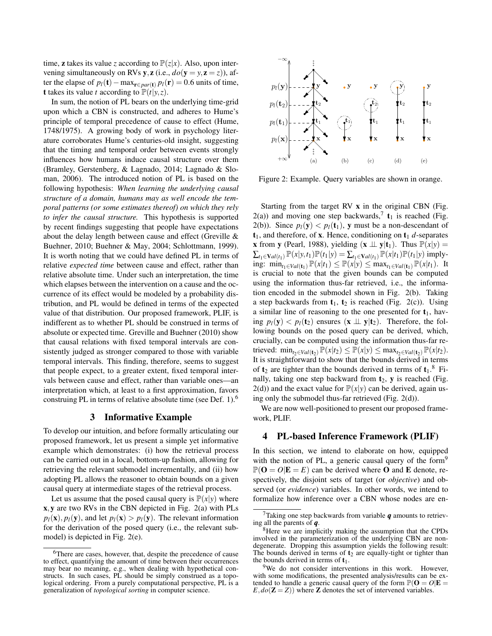time, **z** takes its value *z* according to  $\mathbb{P}(z|x)$ . Also, upon intervening simultaneously on RVs y, z (i.e.,  $do(y = y, z = z)$ ), after the elapse of  $p_l(t)$  − max $_{\mathbf{r} \in par(\mathbf{t})} p_l(\mathbf{r}) = 0.6$  units of time, **t** takes its value *t* according to  $\mathbb{P}(t|y, z)$ .

In sum, the notion of PL bears on the underlying time-grid upon which a CBN is constructed, and adheres to Hume's principle of temporal precedence of cause to effect (Hume, 1748/1975). A growing body of work in psychology literature corroborates Hume's centuries-old insight, suggesting that the timing and temporal order between events strongly influences how humans induce causal structure over them (Bramley, Gerstenberg, & Lagnado, 2014; Lagnado & Sloman, 2006). The introduced notion of PL is based on the following hypothesis: *When learning the underlying causal structure of a domain, humans may as well encode the temporal patterns (or some estimates thereof) on which they rely to infer the causal structure.* This hypothesis is supported by recent findings suggesting that people have expectations about the delay length between cause and effect (Greville & Buehner, 2010; Buehner & May, 2004; Schlottmann, 1999). It is worth noting that we could have defined PL in terms of relative *expected time* between cause and effect, rather than relative absolute time. Under such an interpretation, the time which elapses between the intervention on a cause and the occurrence of its effect would be modeled by a probability distribution, and PL would be defined in terms of the expected value of that distribution. Our proposed framework, PLIF, is indifferent as to whether PL should be construed in terms of absolute or expected time. Greville and Buehner (2010) show that causal relations with fixed temporal intervals are consistently judged as stronger compared to those with variable temporal intervals. This finding, therefore, seems to suggest that people expect, to a greater extent, fixed temporal intervals between cause and effect, rather than variable ones—an interpretation which, at least to a first approximation, favors construing PL in terms of relative absolute time (see Def. 1).<sup>6</sup>

### 3 Informative Example

To develop our intuition, and before formally articulating our proposed framework, let us present a simple yet informative example which demonstrates: (i) how the retrieval process can be carried out in a local, bottom-up fashion, allowing for retrieving the relevant submodel incrementally, and (ii) how adopting PL allows the reasoner to obtain bounds on a given causal query at intermediate stages of the retrieval process.

Let us assume that the posed causal query is  $P(x|y)$  where x,y are two RVs in the CBN depicted in Fig. 2(a) with PLs  $p_l$ (**x**),  $p_l$ (**y**), and let  $p_l$ (**x**) >  $p_l$ (**y**). The relevant information for the derivation of the posed query (i.e., the relevant submodel) is depicted in Fig. 2(e).



Figure 2: Example. Query variables are shown in orange.

Starting from the target RV x in the original CBN (Fig.  $2(a)$ ) and moving one step backwards,<sup>7</sup> **t**<sub>1</sub> is reached (Fig. 2(b)). Since  $p_l(y) < p_l(t_1)$ , y must be a non-descendant of  $t_1$ , and therefore, of **x**. Hence, conditioning on  $t_1$  *d*-separates **x** from **y** (Pearl, 1988), yielding  $(\mathbf{x} \perp \mathbf{y}|\mathbf{t}_1)$ . Thus  $\mathbb{P}(x|y) =$  $\sum_{t_1 \in \mathbf{V}al(t_1)} \mathbb{P}(x|y,t_1)\mathbb{P}(t_1|y) = \sum_{t_1 \in \mathbf{V}al(t_1)} \mathbb{P}(x|t_1)\mathbb{P}(t_1|y)$  implying: min<sub>t<sub>1∈</sub>*Val*(**t**<sub>1</sub>)</sub>  $\mathbb{P}(x|t_1) \leq \mathbb{P}(x|y) \leq \max_{t_1 \in Val(t_1)} \mathbb{P}(x|t_1)$ . It is crucial to note that the given bounds can be computed using the information thus-far retrieved, i.e., the information encoded in the submodel shown in Fig. 2(b). Taking a step backwards from  $t_1$ ,  $t_2$  is reached (Fig. 2(c)). Using a similar line of reasoning to the one presented for  $t_1$ , having  $p_l(y) < p_l(t_2)$  ensures  $(x \perp \perp y|t_2)$ . Therefore, the following bounds on the posed query can be derived, which, crucially, can be computed using the information thus-far retrieved:  $\min_{t_2 \in Val(t_2)} \mathbb{P}(x|t_2) \leq \mathbb{P}(x|y) \leq \max_{t_2 \in Val(t_2)} \mathbb{P}(x|t_2).$ It is straightforward to show that the bounds derived in terms of  $t_2$  are tighter than the bounds derived in terms of  $t_1$ .<sup>8</sup> Finally, taking one step backward from  $t_2$ , y is reached (Fig.  $2(d)$ ) and the exact value for  $\mathbb{P}(x|y)$  can be derived, again using only the submodel thus-far retrieved (Fig. 2(d)).

We are now well-positioned to present our proposed framework, PLIF.

### 4 PL-based Inference Framework (PLIF)

In this section, we intend to elaborate on how, equipped with the notion of PL, a generic causal query of the form<sup>9</sup>  $\mathbb{P}(\mathbf{O} = O | \mathbf{E} = E)$  can be derived where **O** and **E** denote, respectively, the disjoint sets of target (or *objective*) and observed (or *evidence*) variables. In other words, we intend to formalize how inference over a CBN whose nodes are en-

<sup>6</sup>There are cases, however, that, despite the precedence of cause to effect, quantifying the amount of time between their occurrences may bear no meaning, e.g., when dealing with hypothetical constructs. In such cases, PL should be simply construed as a topological ordering. From a purely computational perspective, PL is a generalization of *topological sorting* in computer science.

<sup>7</sup>Taking one step backwards from variable *q* amounts to retrieving all the parents of *q*.

<sup>&</sup>lt;sup>8</sup>Here we are implicitly making the assumption that the CPDs involved in the parameterization of the underlying CBN are nondegenerate. Dropping this assumption yields the following result: The bounds derived in terms of  $t_2$  are equally-tight or tighter than the bounds derived in terms of  $t_1$ .

<sup>&</sup>lt;sup>9</sup>We do not consider interventions in this work. However, with some modifications, the presented analysis/results can be extended to handle a generic causal query of the form  $\mathbb{P}(\mathbf{O} = O | \mathbf{E} =$  $E$ , $do$ ( $\mathbb{Z} = Z$ )) where  $\mathbb{Z}$  denotes the set of intervened variables.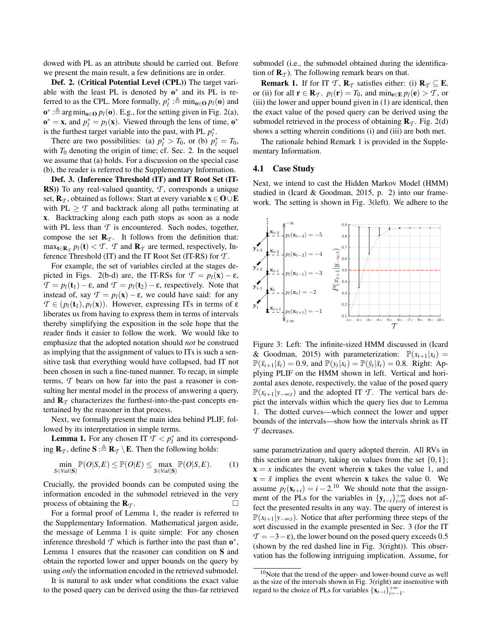dowed with PL as an attribute should be carried out. Before we present the main result, a few definitions are in order.

Def. 2. (Critical Potential Level (CPL)) The target variable with the least PL is denoted by  $o^*$  and its PL is referred to as the CPL. More formally,  $p_l^*$  :  $\triangleq \min_{\mathbf{o} \in \mathbf{O}} p_l(\mathbf{o})$  and **o**<sup>\*</sup> :≜ arg min<sub>o∈</sub>O *p*<sub>*l*</sub>(**o**). E.g., for the setting given in Fig. 2(a),  $\mathbf{o}^* = \mathbf{x}$ , and  $p_l^* = p_l(\mathbf{x})$ . Viewed through the lens of time,  $\mathbf{o}^*$ is the furthest target variable into the past, with PL  $p_l^*$ .

There are two possibilities: (a)  $p_l^* > T_0$ , or (b)  $p_l^* = T_0$ , with  $T_0$  denoting the origin of time; cf. Sec. 2. In the sequel we assume that (a) holds. For a discussion on the special case (b), the reader is referred to the Supplementary Information.

Def. 3. (Inference Threshold (IT) and IT Root Set (IT-RS)) To any real-valued quantity, T, corresponds a unique set,  $\mathbf{R}_{\tau}$ , obtained as follows: Start at every variable  $\mathbf{x} \in \mathbf{O} \cup \mathbf{E}$ with PL  $\geq$  *T* and backtrack along all paths terminating at x. Backtracking along each path stops as soon as a node with PL less than  $T$  is encountered. Such nodes, together, compose the set  $\mathbf{R}_T$ . It follows from the definition that:  $\max_{\mathbf{t} \in \mathbf{R}_T} p_l(\mathbf{t}) < T$ . *T* and  $\mathbf{R}_T$  are termed, respectively, Inference Threshold (IT) and the IT Root Set (IT-RS) for *T* .

For example, the set of variables circled at the stages depicted in Figs. 2(b-d) are, the IT-RSs for  $\mathcal{T} = p_l(\mathbf{x}) - \varepsilon$ ,  $\mathcal{T} = p_l(\mathbf{t}_1) - \varepsilon$ , and  $\mathcal{T} = p_l(\mathbf{t}_2) - \varepsilon$ , respectively. Note that instead of, say  $T = p_l(x) - \varepsilon$ , we could have said: for any  $\mathcal{T} \in (p_l(\mathbf{t}_1), p_l(\mathbf{x}))$ . However, expressing ITs in terms of  $\epsilon$ liberates us from having to express them in terms of intervals thereby simplifying the exposition in the sole hope that the reader finds it easier to follow the work. We would like to emphasize that the adopted notation should *not* be construed as implying that the assignment of values to ITs is such a sensitive task that everything would have collapsed, had IT not been chosen in such a fine-tuned manner. To recap, in simple terms, *T* bears on how far into the past a reasoner is consulting her mental model in the process of answering a query, and  $\mathbf{R}_{\mathcal{T}}$  characterizes the furthest-into-the-past concepts entertained by the reasoner in that process.

Next, we formally present the main idea behind PLIF, followed by its interpretation in simple terms.

**Lemma 1.** For any chosen IT  $\mathcal{T} < p_l^*$  and its corresponding  $\mathbf{R}_T$ , define  $\mathbf{S} : \triangleq \mathbf{R}_T \setminus \mathbf{E}$ . Then the following holds:

$$
\min_{S \in Val(\mathbf{S})} \mathbb{P}(O|S,E) \leq \mathbb{P}(O|E) \leq \max_{S \in Val(\mathbf{S})} \mathbb{P}(O|S,E). \tag{1}
$$

Crucially, the provided bounds can be computed using the information encoded in the submodel retrieved in the very process of obtaining the  $\mathbf{R}_{\tau}$ .

For a formal proof of Lemma 1, the reader is referred to the Supplementary Information. Mathematical jargon aside, the message of Lemma 1 is quite simple: For any chosen inference threshold  $\mathcal T$  which is further into the past than  $o^*$ , Lemma 1 ensures that the reasoner can condition on S and obtain the reported lower and upper bounds on the query by using *only* the information encoded in the retrieved submodel.

It is natural to ask under what conditions the exact value to the posed query can be derived using the thus-far retrieved submodel (i.e., the submodel obtained during the identification of  $\mathbf{R}_{\tau}$ ). The following remark bears on that.

**Remark 1.** If for IT *T*,  $\mathbf{R}_T$  satisfies either: (i)  $\mathbf{R}_T \subseteq \mathbf{E}$ , or (ii) for all  $\mathbf{r} \in \mathbf{R}_{\mathcal{T}}$ ,  $p_l(\mathbf{r}) = T_0$ , and  $\min_{\mathbf{e} \in \mathbf{E}} p_l(\mathbf{e}) > T$ , or (iii) the lower and upper bound given in (1) are identical, then the exact value of the posed query can be derived using the submodel retrieved in the process of obtaining  $\mathbf{R}_{\mathcal{T}}$ . Fig. 2(d) shows a setting wherein conditions (i) and (iii) are both met.

The rationale behind Remark 1 is provided in the Supplementary Information.

### 4.1 Case Study

Next, we intend to cast the Hidden Markov Model (HMM) studied in (Icard & Goodman, 2015, p. 2) into our framework. The setting is shown in Fig. 3(left). We adhere to the



Figure 3: Left: The infinite-sized HMM discussed in (Icard & Goodman, 2015) with parameterization:  $\mathbb{P}(x_{t+1}|x_t) =$  $\mathbb{P}(\bar{x}_{t+1}|\bar{x}_t) = 0.9$ , and  $\mathbb{P}(y_t|x_t) = \mathbb{P}(\bar{y}_t|\bar{x}_t) = 0.8$ . Right: Applying PLIF on the HMM shown in left. Vertical and horizontal axes denote, respectively, the value of the posed query  $\mathbb{P}(x_{t+1}|y_{-\infty:t})$  and the adopted IT *T*. The vertical bars depict the intervals within which the query lies due to Lemma 1. The dotted curves—which connect the lower and upper bounds of the intervals—show how the intervals shrink as IT *T* decreases.

same parametrization and query adopted therein. All RVs in this section are binary, taking on values from the set  $\{0,1\}$ ;  $x = x$  indicates the event wherein x takes the value 1, and  $x = \bar{x}$  implies the event wherein x takes the value 0. We assume  $p_l(\mathbf{x}_{t+i}) = i - 2^{10}$  We should note that the assignment of the PLs for the variables in  ${y_{t-i}}_{i=0}^{+\infty}$  does not affect the presented results in any way. The query of interest is <sup>P</sup>(*xt*+1|*y*−∞:*t*). Notice that after performing three steps of the sort discussed in the example presented in Sec. 3 (for the IT  $\mathcal{T} = -3 - \varepsilon$ , the lower bound on the posed query exceeds 0.5 (shown by the red dashed line in Fig. 3(right)). This observation has the following intriguing implication. Assume, for

 $10$ Note that the trend of the upper- and lower-bound curve as well as the size of the intervals shown in Fig. 3(right) are insensitive with regard to the choice of PLs for variables  $\{x_{t-i}\}_{i=-1}^{+\infty}$ .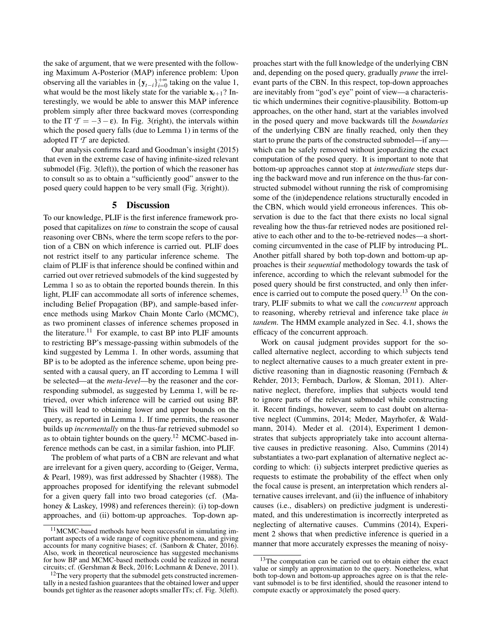the sake of argument, that we were presented with the following Maximum A-Posterior (MAP) inference problem: Upon observing all the variables in  $\{y_{t-1}\}_{i=0}^{+\infty}$  taking on the value 1, what would be the most likely state for the variable  $x_{t+1}$ ? Interestingly, we would be able to answer this MAP inference problem simply after three backward moves (corresponding to the IT  $\mathcal{T} = -3 - \varepsilon$ ). In Fig. 3(right), the intervals within which the posed query falls (due to Lemma 1) in terms of the adopted IT *T* are depicted.

Our analysis confirms Icard and Goodman's insight (2015) that even in the extreme case of having infinite-sized relevant submodel (Fig. 3(left)), the portion of which the reasoner has to consult so as to obtain a "sufficiently good" answer to the posed query could happen to be very small (Fig. 3(right)).

### 5 Discussion

To our knowledge, PLIF is the first inference framework proposed that capitalizes on *time* to constrain the scope of causal reasoning over CBNs, where the term scope refers to the portion of a CBN on which inference is carried out. PLIF does not restrict itself to any particular inference scheme. The claim of PLIF is that inference should be confined within and carried out over retrieved submodels of the kind suggested by Lemma 1 so as to obtain the reported bounds therein. In this light, PLIF can accommodate all sorts of inference schemes, including Belief Propagation (BP), and sample-based inference methods using Markov Chain Monte Carlo (MCMC), as two prominent classes of inference schemes proposed in the literature.<sup>11</sup> For example, to cast BP into PLIF amounts to restricting BP's message-passing within submodels of the kind suggested by Lemma 1. In other words, assuming that BP is to be adopted as the inference scheme, upon being presented with a causal query, an IT according to Lemma 1 will be selected—at the *meta-level*—by the reasoner and the corresponding submodel, as suggested by Lemma 1, will be retrieved, over which inference will be carried out using BP. This will lead to obtaining lower and upper bounds on the query, as reported in Lemma 1. If time permits, the reasoner builds up *incrementally* on the thus-far retrieved submodel so as to obtain tighter bounds on the query.<sup>12</sup> MCMC-based inference methods can be cast, in a similar fashion, into PLIF.

The problem of what parts of a CBN are relevant and what are irrelevant for a given query, according to (Geiger, Verma, & Pearl, 1989), was first addressed by Shachter (1988). The approaches proposed for identifying the relevant submodel for a given query fall into two broad categories (cf. (Mahoney & Laskey, 1998) and references therein): (i) top-down approaches, and (ii) bottom-up approaches. Top-down approaches start with the full knowledge of the underlying CBN and, depending on the posed query, gradually *prune* the irrelevant parts of the CBN. In this respect, top-down approaches are inevitably from "god's eye" point of view—a characteristic which undermines their cognitive-plausibility. Bottom-up approaches, on the other hand, start at the variables involved in the posed query and move backwards till the *boundaries* of the underlying CBN are finally reached, only then they start to prune the parts of the constructed submodel—if any which can be safely removed without jeopardizing the exact computation of the posed query. It is important to note that bottom-up approaches cannot stop at *intermediate* steps during the backward move and run inference on the thus-far constructed submodel without running the risk of compromising some of the (in)dependence relations structurally encoded in the CBN, which would yield erroneous inferences. This observation is due to the fact that there exists no local signal revealing how the thus-far retrieved nodes are positioned relative to each other and to the to-be-retrieved nodes—a shortcoming circumvented in the case of PLIF by introducing PL. Another pitfall shared by both top-down and bottom-up approaches is their *sequential* methodology towards the task of inference, according to which the relevant submodel for the posed query should be first constructed, and only then inference is carried out to compute the posed query.<sup>13</sup> On the contrary, PLIF submits to what we call the *concurrent* approach to reasoning, whereby retrieval and inference take place *in tandem*. The HMM example analyzed in Sec. 4.1, shows the efficacy of the concurrent approach.

Work on causal judgment provides support for the socalled alternative neglect, according to which subjects tend to neglect alternative causes to a much greater extent in predictive reasoning than in diagnostic reasoning (Fernbach & Rehder, 2013; Fernbach, Darlow, & Sloman, 2011). Alternative neglect, therefore, implies that subjects would tend to ignore parts of the relevant submodel while constructing it. Recent findings, however, seem to cast doubt on alternative neglect (Cummins, 2014; Meder, Mayrhofer, & Waldmann, 2014). Meder et al. (2014), Experiment 1 demonstrates that subjects appropriately take into account alternative causes in predictive reasoning. Also, Cummins (2014) substantiates a two-part explanation of alternative neglect according to which: (i) subjects interpret predictive queries as requests to estimate the probability of the effect when only the focal cause is present, an interpretation which renders alternative causes irrelevant, and (ii) the influence of inhabitory causes (i.e., disablers) on predictive judgment is underestimated, and this underestimation is incorrectly interpreted as neglecting of alternative causes. Cummins (2014), Experiment 2 shows that when predictive inference is queried in a manner that more accurately expresses the meaning of noisy-

<sup>&</sup>lt;sup>11</sup>MCMC-based methods have been successful in simulating important aspects of a wide range of cognitive phenomena, and giving accounts for many cognitive biases; cf. (Sanborn & Chater, 2016). Also, work in theoretical neuroscience has suggested mechanisms for how BP and MCMC-based methods could be realized in neural circuits; cf. (Gershman & Beck, 2016; Lochmann & Deneve, 2011).

<sup>12</sup>The very property that the submodel gets constructed incrementally in a nested fashion guarantees that the obtained lower and upper bounds get tighter as the reasoner adopts smaller ITs; cf. Fig. 3(left).

<sup>&</sup>lt;sup>13</sup>The computation can be carried out to obtain either the exact value or simply an approximation to the query. Nonetheless, what both top-down and bottom-up approaches agree on is that the relevant submodel is to be first identified, should the reasoner intend to compute exactly or approximately the posed query.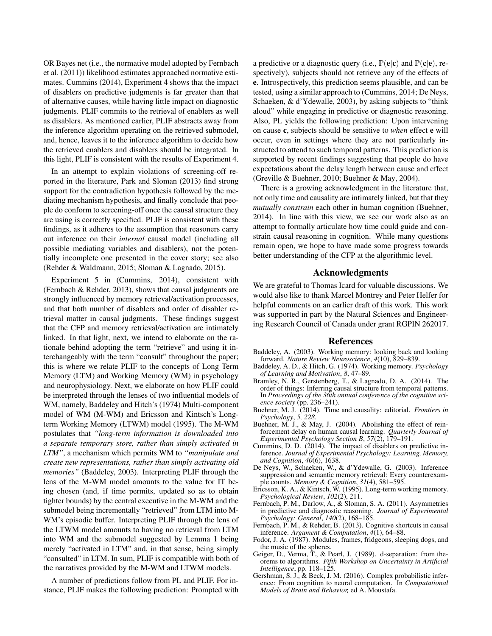OR Bayes net (i.e., the normative model adopted by Fernbach et al. (2011)) likelihood estimates approached normative estimates. Cummins (2014), Experiment 4 shows that the impact of disablers on predictive judgments is far greater than that of alternative causes, while having little impact on diagnostic judgments. PLIF commits to the retrieval of enablers as well as disablers. As mentioned earlier, PLIF abstracts away from the inference algorithm operating on the retrieved submodel, and, hence, leaves it to the inference algorithm to decide how the retrieved enablers and disablers should be integrated. In this light, PLIF is consistent with the results of Experiment 4.

In an attempt to explain violations of screening-off reported in the literature, Park and Sloman (2013) find strong support for the contradiction hypothesis followed by the mediating mechanism hypothesis, and finally conclude that people do conform to screening-off once the causal structure they are using is correctly specified. PLIF is consistent with these findings, as it adheres to the assumption that reasoners carry out inference on their *internal* causal model (including all possible mediating variables and disablers), not the potentially incomplete one presented in the cover story; see also (Rehder & Waldmann, 2015; Sloman & Lagnado, 2015).

Experiment 5 in (Cummins, 2014), consistent with (Fernbach & Rehder, 2013), shows that causal judgments are strongly influenced by memory retrieval/activation processes, and that both number of disablers and order of disabler retrieval matter in causal judgments. These findings suggest that the CFP and memory retrieval/activation are intimately linked. In that light, next, we intend to elaborate on the rationale behind adopting the term "retrieve" and using it interchangeably with the term "consult" throughout the paper; this is where we relate PLIF to the concepts of Long Term Memory (LTM) and Working Memory (WM) in psychology and neurophysiology. Next, we elaborate on how PLIF could be interpreted through the lenses of two influential models of WM, namely, Baddeley and Hitch's (1974) Multi-component model of WM (M-WM) and Ericsson and Kintsch's Longterm Working Memory (LTWM) model (1995). The M-WM postulates that *"long-term information is downloaded into a separate temporary store, rather than simply activated in LTM"*, a mechanism which permits WM to *"manipulate and create new representations, rather than simply activating old memories"* (Baddeley, 2003). Interpreting PLIF through the lens of the M-WM model amounts to the value for IT being chosen (and, if time permits, updated so as to obtain tighter bounds) by the central executive in the M-WM and the submodel being incrementally "retrieved" from LTM into M-WM's episodic buffer. Interpreting PLIF through the lens of the LTWM model amounts to having no retrieval from LTM into WM and the submodel suggested by Lemma 1 being merely "activated in LTM" and, in that sense, being simply "consulted" in LTM. In sum, PLIF is compatible with both of the narratives provided by the M-WM and LTWM models.

A number of predictions follow from PL and PLIF. For instance, PLIF makes the following prediction: Prompted with a predictive or a diagnostic query (i.e.,  $\mathbb{P}(\mathbf{e}|\mathbf{c})$  and  $\mathbb{P}(\mathbf{c}|\mathbf{e})$ , respectively), subjects should not retrieve any of the effects of e. Introspectively, this prediction seems plausible, and can be tested, using a similar approach to (Cummins, 2014; De Neys, Schaeken, & d'Ydewalle, 2003), by asking subjects to "think aloud" while engaging in predictive or diagnostic reasoning. Also, PL yields the following prediction: Upon intervening on cause c, subjects should be sensitive to *when* effect e will occur, even in settings where they are not particularly instructed to attend to such temporal patterns. This prediction is supported by recent findings suggesting that people do have expectations about the delay length between cause and effect (Greville & Buehner, 2010; Buehner & May, 2004).

There is a growing acknowledgment in the literature that, not only time and causality are intimately linked, but that they *mutually constrain* each other in human cognition (Buehner, 2014). In line with this view, we see our work also as an attempt to formally articulate how time could guide and constrain causal reasoning in cognition. While many questions remain open, we hope to have made some progress towards better understanding of the CFP at the algorithmic level.

### Acknowledgments

We are grateful to Thomas Icard for valuable discussions. We would also like to thank Marcel Montrey and Peter Helfer for helpful comments on an earlier draft of this work. This work was supported in part by the Natural Sciences and Engineering Research Council of Canada under grant RGPIN 262017.

### References

- Baddeley, A. (2003). Working memory: looking back and looking forward. *Nature Review Neuroscience*, *4*(10), 829–839.
- Baddeley, A. D., & Hitch, G. (1974). Working memory. *Psychology of Learning and Motivation*, *8*, 47–89.
- Bramley, N. R., Gerstenberg, T., & Lagnado, D. A. (2014). The order of things: Inferring causal structure from temporal patterns. In *Proceedings of the 36th annual conference of the cognitive science society* (pp. 236–241).
- Buehner, M. J. (2014). Time and causality: editorial. *Frontiers in Psychology*, *5, 228*.
- Buehner, M. J., & May, J. (2004). Abolishing the effect of reinforcement delay on human causal learning. *Quarterly Journal of Experimental Psychology Section B*, *57*(2), 179–191.
- Cummins, D. D. (2014). The impact of disablers on predictive inference. *Journal of Experimental Psychology: Learning, Memory, and Cognition*, *40*(6), 1638.
- De Neys, W., Schaeken, W., & d'Ydewalle, G. (2003). Inference suppression and semantic memory retrieval: Every counterexample counts. *Memory & Cognition*, *31*(4), 581–595.
- Ericsson, K. A., & Kintsch, W. (1995). Long-term working memory. *Psychological Review*, *102*(2), 211.
- Fernbach, P. M., Darlow, A., & Sloman, S. A. (2011). Asymmetries in predictive and diagnostic reasoning. *Journal of Experimental Psychology: General*, *140*(2), 168–185.
- Fernbach, P. M., & Rehder, B. (2013). Cognitive shortcuts in causal inference. *Argument & Computation*, *4*(1), 64–88.
- Fodor, J. A. (1987). Modules, frames, fridgeons, sleeping dogs, and the music of the spheres.
- Geiger, D., Verma, T., & Pearl, J. (1989). d-separation: from theorems to algorithms. *Fifth Workshop on Uncertainty in Artificial Intelligence*, pp. 118–125.
- Gershman, S. J., & Beck, J. M. (2016). Complex probabilistic inference: From cognition to neural computation. In *Computational Models of Brain and Behavior,* ed A. Moustafa.